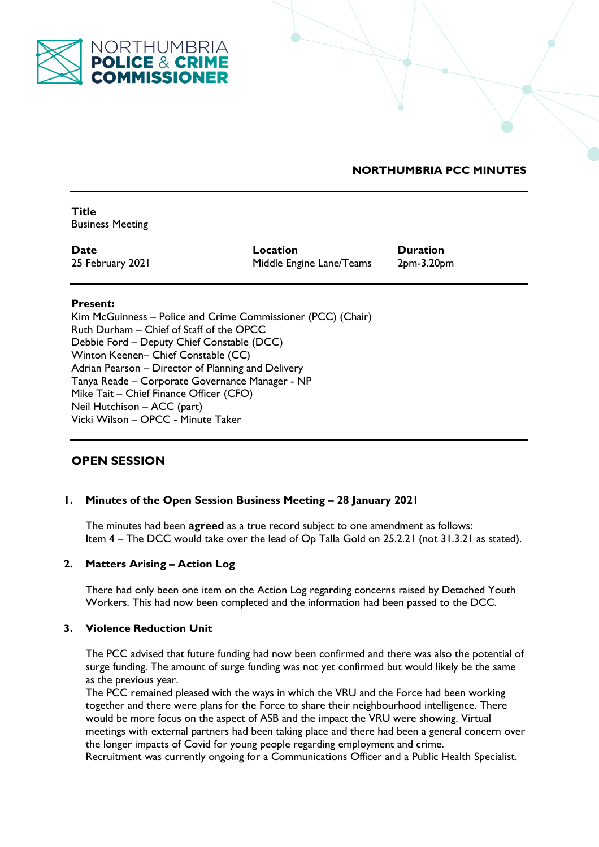

# **NORTHUMBRIA PCC MINUTES**

**Title**  Business Meeting

**Date Location Duration** 25 February 2021 Middle Engine Lane/Teams 2pm-3.20pm

### **Present:**

Kim McGuinness – Police and Crime Commissioner (PCC) (Chair) Ruth Durham – Chief of Staff of the OPCC Debbie Ford – Deputy Chief Constable (DCC) Winton Keenen– Chief Constable (CC) Adrian Pearson – Director of Planning and Delivery Tanya Reade – Corporate Governance Manager - NP Mike Tait – Chief Finance Officer (CFO) Neil Hutchison – ACC (part) Vicki Wilson – OPCC - Minute Taker

# **OPEN SESSION**

# **1. Minutes of the Open Session Business Meeting – 28 January 2021**

The minutes had been **agreed** as a true record subject to one amendment as follows: Item 4 – The DCC would take over the lead of Op Talla Gold on 25.2.21 (not 31.3.21 as stated).

# **2. Matters Arising – Action Log**

There had only been one item on the Action Log regarding concerns raised by Detached Youth Workers. This had now been completed and the information had been passed to the DCC.

### **3. Violence Reduction Unit**

The PCC advised that future funding had now been confirmed and there was also the potential of surge funding. The amount of surge funding was not yet confirmed but would likely be the same as the previous year.

The PCC remained pleased with the ways in which the VRU and the Force had been working together and there were plans for the Force to share their neighbourhood intelligence. There would be more focus on the aspect of ASB and the impact the VRU were showing. Virtual meetings with external partners had been taking place and there had been a general concern over the longer impacts of Covid for young people regarding employment and crime.

Recruitment was currently ongoing for a Communications Officer and a Public Health Specialist.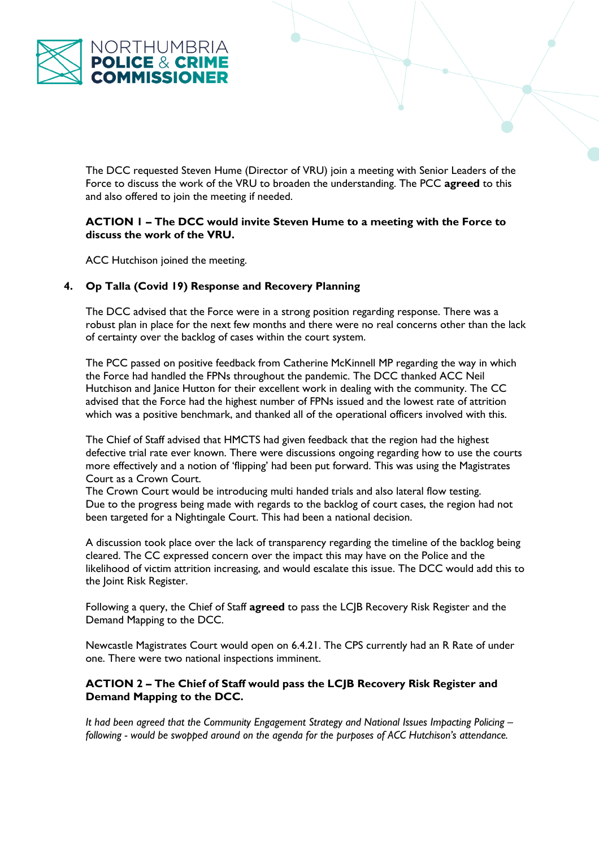

The DCC requested Steven Hume (Director of VRU) join a meeting with Senior Leaders of the Force to discuss the work of the VRU to broaden the understanding. The PCC **agreed** to this and also offered to join the meeting if needed.

### **ACTION 1 – The DCC would invite Steven Hume to a meeting with the Force to discuss the work of the VRU.**

ACC Hutchison joined the meeting.

# **4. Op Talla (Covid 19) Response and Recovery Planning**

The DCC advised that the Force were in a strong position regarding response. There was a robust plan in place for the next few months and there were no real concerns other than the lack of certainty over the backlog of cases within the court system.

The PCC passed on positive feedback from Catherine McKinnell MP regarding the way in which the Force had handled the FPNs throughout the pandemic. The DCC thanked ACC Neil Hutchison and Janice Hutton for their excellent work in dealing with the community. The CC advised that the Force had the highest number of FPNs issued and the lowest rate of attrition which was a positive benchmark, and thanked all of the operational officers involved with this.

The Chief of Staff advised that HMCTS had given feedback that the region had the highest defective trial rate ever known. There were discussions ongoing regarding how to use the courts more effectively and a notion of 'flipping' had been put forward. This was using the Magistrates Court as a Crown Court.

The Crown Court would be introducing multi handed trials and also lateral flow testing. Due to the progress being made with regards to the backlog of court cases, the region had not been targeted for a Nightingale Court. This had been a national decision.

A discussion took place over the lack of transparency regarding the timeline of the backlog being cleared. The CC expressed concern over the impact this may have on the Police and the likelihood of victim attrition increasing, and would escalate this issue. The DCC would add this to the Joint Risk Register.

Following a query, the Chief of Staff **agreed** to pass the LCJB Recovery Risk Register and the Demand Mapping to the DCC.

Newcastle Magistrates Court would open on 6.4.21. The CPS currently had an R Rate of under one. There were two national inspections imminent.

### **ACTION 2 – The Chief of Staff would pass the LCJB Recovery Risk Register and Demand Mapping to the DCC.**

*It had been agreed that the Community Engagement Strategy and National Issues Impacting Policing – following - would be swopped around on the agenda for the purposes of ACC Hutchison's attendance.*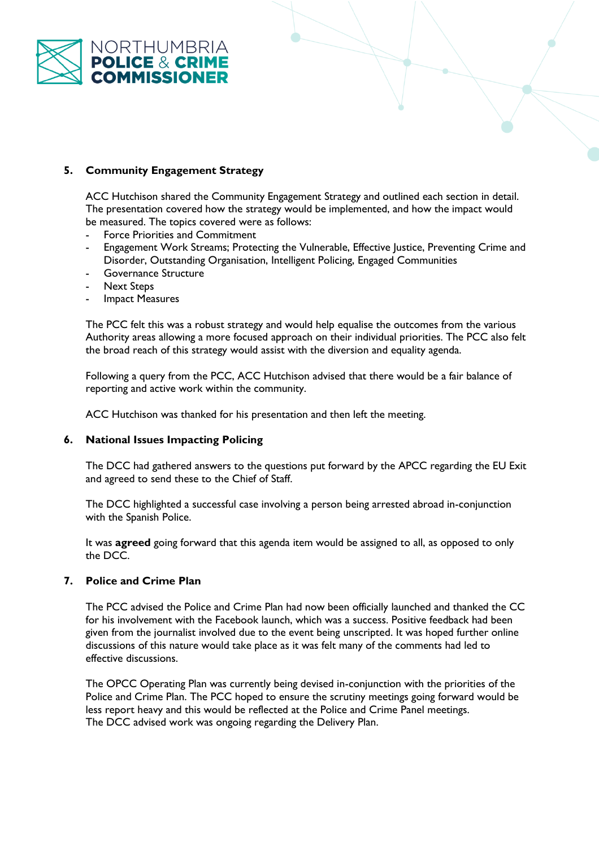

# **5. Community Engagement Strategy**

ACC Hutchison shared the Community Engagement Strategy and outlined each section in detail. The presentation covered how the strategy would be implemented, and how the impact would be measured. The topics covered were as follows:

- Force Priorities and Commitment
- Engagement Work Streams; Protecting the Vulnerable, Effective Justice, Preventing Crime and Disorder, Outstanding Organisation, Intelligent Policing, Engaged Communities
- Governance Structure
- Next Steps
- **Impact Measures**

The PCC felt this was a robust strategy and would help equalise the outcomes from the various Authority areas allowing a more focused approach on their individual priorities. The PCC also felt the broad reach of this strategy would assist with the diversion and equality agenda.

Following a query from the PCC, ACC Hutchison advised that there would be a fair balance of reporting and active work within the community.

ACC Hutchison was thanked for his presentation and then left the meeting.

# **6. National Issues Impacting Policing**

The DCC had gathered answers to the questions put forward by the APCC regarding the EU Exit and agreed to send these to the Chief of Staff.

The DCC highlighted a successful case involving a person being arrested abroad in-conjunction with the Spanish Police.

It was **agreed** going forward that this agenda item would be assigned to all, as opposed to only the DCC.

# **7. Police and Crime Plan**

The PCC advised the Police and Crime Plan had now been officially launched and thanked the CC for his involvement with the Facebook launch, which was a success. Positive feedback had been given from the journalist involved due to the event being unscripted. It was hoped further online discussions of this nature would take place as it was felt many of the comments had led to effective discussions.

The OPCC Operating Plan was currently being devised in-conjunction with the priorities of the Police and Crime Plan. The PCC hoped to ensure the scrutiny meetings going forward would be less report heavy and this would be reflected at the Police and Crime Panel meetings. The DCC advised work was ongoing regarding the Delivery Plan.